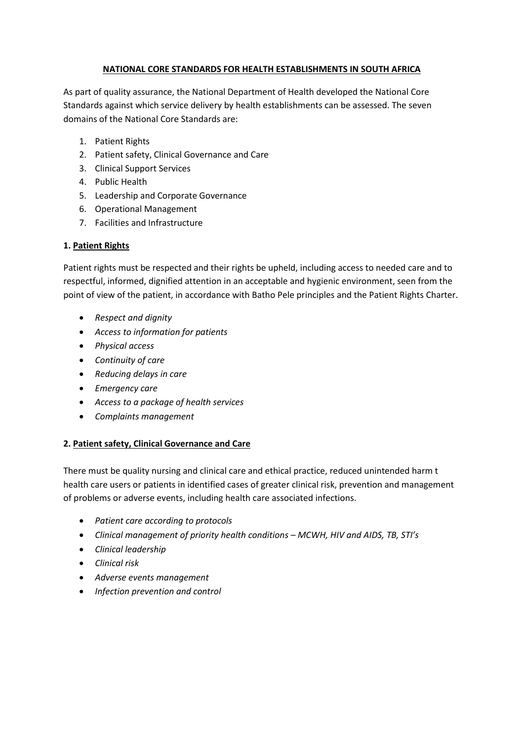## **NATIONAL CORE STANDARDS FOR HEALTH ESTABLISHMENTS IN SOUTH AFRICA**

As part of quality assurance, the National Department of Health developed the National Core Standards against which service delivery by health establishments can be assessed. The seven domains of the National Core Standards are:

- 1. Patient Rights
- 2. Patient safety, Clinical Governance and Care
- 3. Clinical Support Services
- 4. Public Health
- 5. Leadership and Corporate Governance
- 6. Operational Management
- 7. Facilities and Infrastructure

# **1. Patient Rights**

Patient rights must be respected and their rights be upheld, including access to needed care and to respectful, informed, dignified attention in an acceptable and hygienic environment, seen from the point of view of the patient, in accordance with Batho Pele principles and the Patient Rights Charter.

- *Respect and dignity*
- *Access to information for patients*
- *Physical access*
- *Continuity of care*
- *Reducing delays in care*
- *Emergency care*
- *Access to a package of health services*
- *Complaints management*

## **2. Patient safety, Clinical Governance and Care**

There must be quality nursing and clinical care and ethical practice, reduced unintended harm t health care users or patients in identified cases of greater clinical risk, prevention and management of problems or adverse events, including health care associated infections.

- *Patient care according to protocols*
- *Clinical management of priority health conditions – MCWH, HIV and AIDS, TB, STI's*
- *Clinical leadership*
- *Clinical risk*
- *Adverse events management*
- *Infection prevention and control*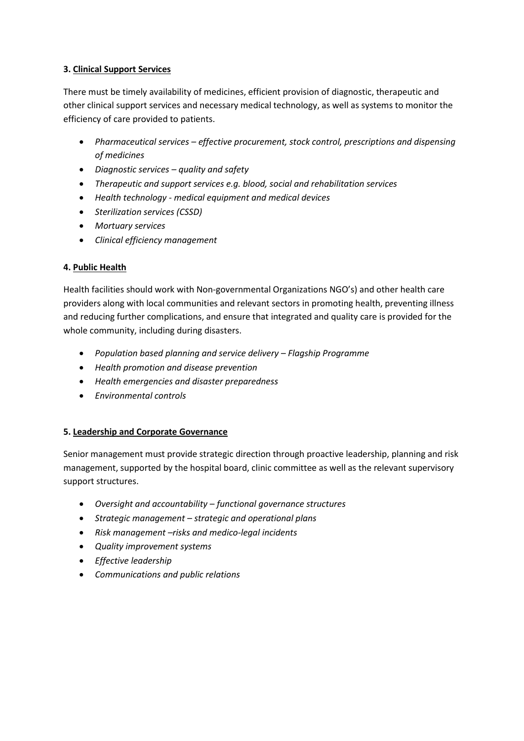## **3. Clinical Support Services**

There must be timely availability of medicines, efficient provision of diagnostic, therapeutic and other clinical support services and necessary medical technology, as well as systems to monitor the efficiency of care provided to patients.

- *Pharmaceutical services – effective procurement, stock control, prescriptions and dispensing of medicines*
- *Diagnostic services – quality and safety*
- *Therapeutic and support services e.g. blood, social and rehabilitation services*
- *Health technology - medical equipment and medical devices*
- *Sterilization services (CSSD)*
- *Mortuary services*
- *Clinical efficiency management*

# **4. Public Health**

Health facilities should work with Non-governmental Organizations NGO's) and other health care providers along with local communities and relevant sectors in promoting health, preventing illness and reducing further complications, and ensure that integrated and quality care is provided for the whole community, including during disasters.

- *Population based planning and service delivery – Flagship Programme*
- *Health promotion and disease prevention*
- *Health emergencies and disaster preparedness*
- *Environmental controls*

# **5. Leadership and Corporate Governance**

Senior management must provide strategic direction through proactive leadership, planning and risk management, supported by the hospital board, clinic committee as well as the relevant supervisory support structures.

- *Oversight and accountability – functional governance structures*
- *Strategic management – strategic and operational plans*
- *Risk management –risks and medico-legal incidents*
- *Quality improvement systems*
- *Effective leadership*
- *Communications and public relations*